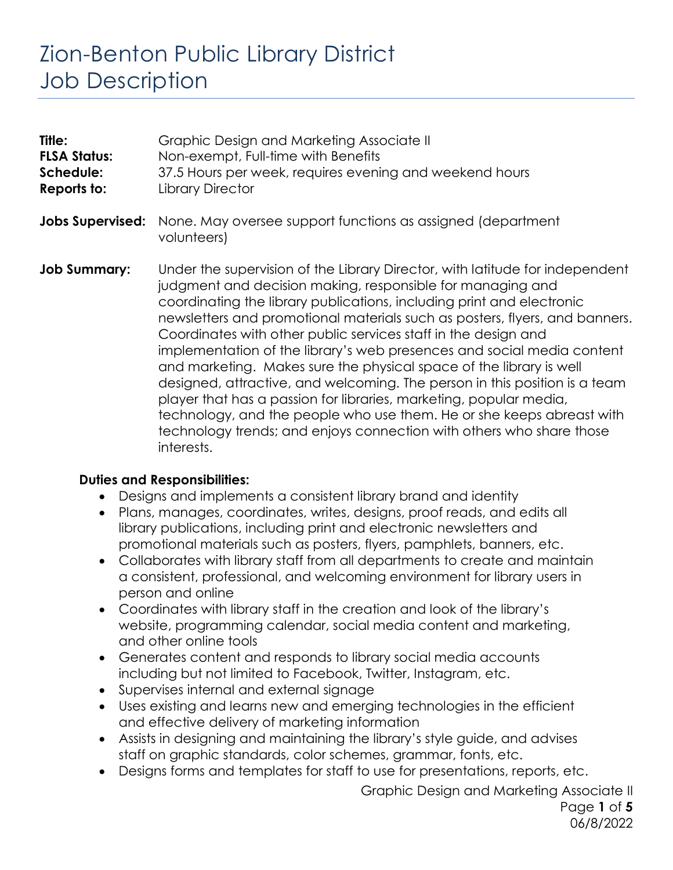# Zion-Benton Public Library District Job Description

| Title:<br><b>FLSA Status:</b><br>Schedule:<br>Reports to: | Graphic Design and Marketing Associate II<br>Non-exempt, Full-time with Benefits<br>37.5 Hours per week, requires evening and weekend hours<br><b>Library Director</b>                                                                                                                                                                                                                                                                                                                                                                                                                                                                                                                                                                                                                                                                   |
|-----------------------------------------------------------|------------------------------------------------------------------------------------------------------------------------------------------------------------------------------------------------------------------------------------------------------------------------------------------------------------------------------------------------------------------------------------------------------------------------------------------------------------------------------------------------------------------------------------------------------------------------------------------------------------------------------------------------------------------------------------------------------------------------------------------------------------------------------------------------------------------------------------------|
| <b>Jobs Supervised:</b>                                   | None. May oversee support functions as assigned (department<br>volunteers)                                                                                                                                                                                                                                                                                                                                                                                                                                                                                                                                                                                                                                                                                                                                                               |
| <b>Job Summary:</b>                                       | Under the supervision of the Library Director, with latitude for independent<br>judgment and decision making, responsible for managing and<br>coordinating the library publications, including print and electronic<br>newsletters and promotional materials such as posters, flyers, and banners.<br>Coordinates with other public services staff in the design and<br>implementation of the library's web presences and social media content<br>and marketing. Makes sure the physical space of the library is well<br>designed, attractive, and welcoming. The person in this position is a team<br>player that has a passion for libraries, marketing, popular media,<br>technology, and the people who use them. He or she keeps abreast with<br>technology trends; and enjoys connection with others who share those<br>interests. |

#### **Duties and Responsibilities:**

- Designs and implements a consistent library brand and identity
- Plans, manages, coordinates, writes, designs, proof reads, and edits all library publications, including print and electronic newsletters and promotional materials such as posters, flyers, pamphlets, banners, etc.
- Collaborates with library staff from all departments to create and maintain a consistent, professional, and welcoming environment for library users in person and online
- Coordinates with library staff in the creation and look of the library's website, programming calendar, social media content and marketing, and other online tools
- Generates content and responds to library social media accounts including but not limited to Facebook, Twitter, Instagram, etc.
- Supervises internal and external signage
- Uses existing and learns new and emerging technologies in the efficient and effective delivery of marketing information
- Assists in designing and maintaining the library's style guide, and advises staff on graphic standards, color schemes, grammar, fonts, etc.
- Designs forms and templates for staff to use for presentations, reports, etc.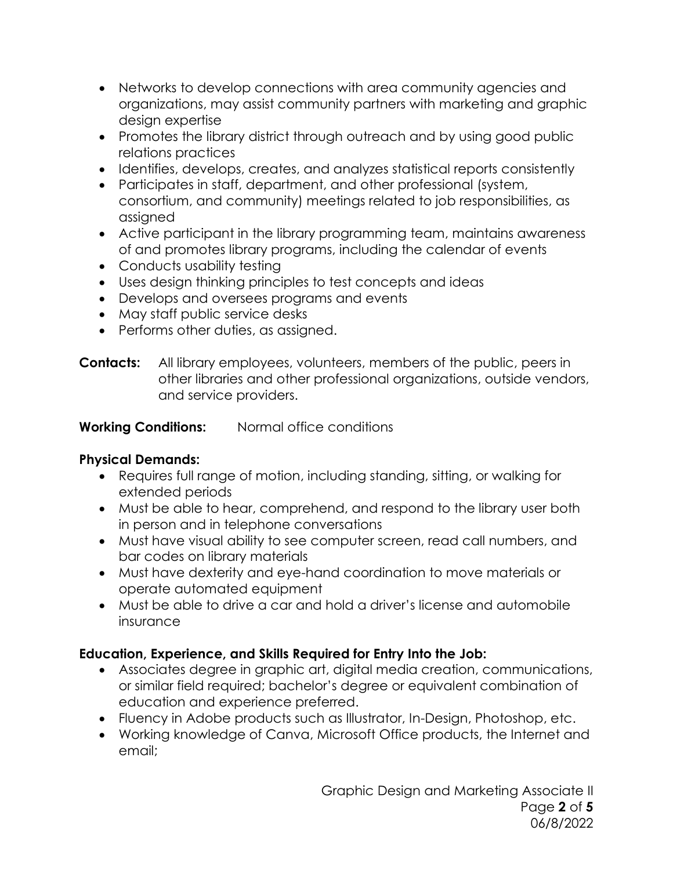- Networks to develop connections with area community agencies and organizations, may assist community partners with marketing and graphic design expertise
- Promotes the library district through outreach and by using good public relations practices
- Identifies, develops, creates, and analyzes statistical reports consistently
- Participates in staff, department, and other professional (system, consortium, and community) meetings related to job responsibilities, as assigned
- Active participant in the library programming team, maintains awareness of and promotes library programs, including the calendar of events
- Conducts usability testing
- Uses design thinking principles to test concepts and ideas
- Develops and oversees programs and events
- May staff public service desks
- Performs other duties, as assigned.
- **Contacts:** All library employees, volunteers, members of the public, peers in other libraries and other professional organizations, outside vendors, and service providers.

**Working Conditions:** Normal office conditions

#### **Physical Demands:**

- Requires full range of motion, including standing, sitting, or walking for extended periods
- Must be able to hear, comprehend, and respond to the library user both in person and in telephone conversations
- Must have visual ability to see computer screen, read call numbers, and bar codes on library materials
- Must have dexterity and eye-hand coordination to move materials or operate automated equipment
- Must be able to drive a car and hold a driver's license and automobile insurance

## **Education, Experience, and Skills Required for Entry Into the Job:**

- Associates degree in graphic art, digital media creation, communications, or similar field required; bachelor's degree or equivalent combination of education and experience preferred.
- Fluency in Adobe products such as Illustrator, In-Design, Photoshop, etc.
- Working knowledge of Canva, Microsoft Office products, the Internet and email;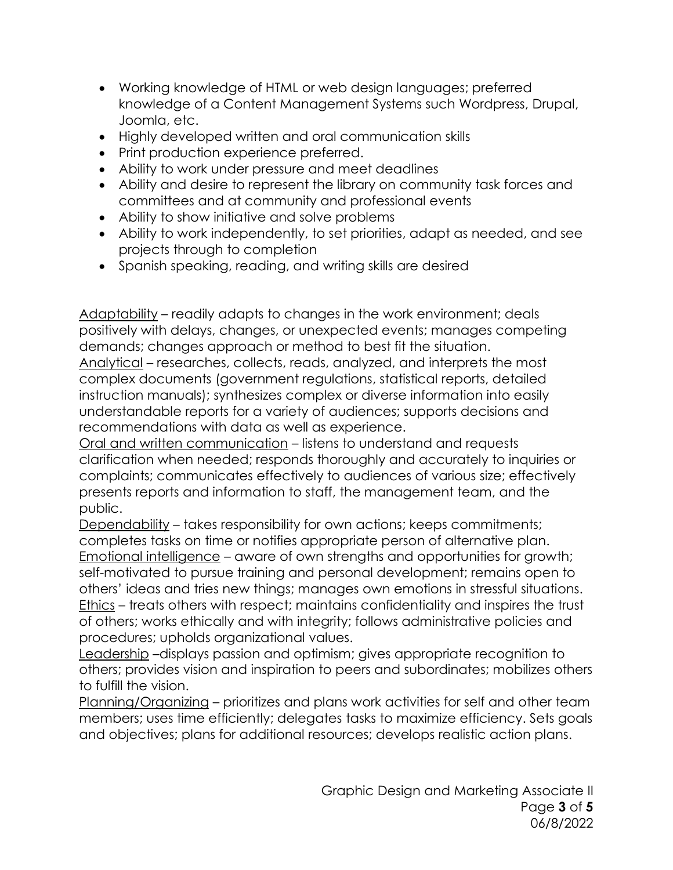- Working knowledge of HTML or web design languages; preferred knowledge of a Content Management Systems such Wordpress, Drupal, Joomla, etc.
- Highly developed written and oral communication skills
- Print production experience preferred.
- Ability to work under pressure and meet deadlines
- Ability and desire to represent the library on community task forces and committees and at community and professional events
- Ability to show initiative and solve problems
- Ability to work independently, to set priorities, adapt as needed, and see projects through to completion
- Spanish speaking, reading, and writing skills are desired

Adaptability – readily adapts to changes in the work environment; deals positively with delays, changes, or unexpected events; manages competing demands; changes approach or method to best fit the situation.

Analytical – researches, collects, reads, analyzed, and interprets the most complex documents (government regulations, statistical reports, detailed instruction manuals); synthesizes complex or diverse information into easily understandable reports for a variety of audiences; supports decisions and recommendations with data as well as experience.

Oral and written communication – listens to understand and requests clarification when needed; responds thoroughly and accurately to inquiries or complaints; communicates effectively to audiences of various size; effectively presents reports and information to staff, the management team, and the public.

Dependability – takes responsibility for own actions; keeps commitments; completes tasks on time or notifies appropriate person of alternative plan. Emotional intelligence – aware of own strengths and opportunities for growth; self-motivated to pursue training and personal development; remains open to others' ideas and tries new things; manages own emotions in stressful situations. Ethics – treats others with respect; maintains confidentiality and inspires the trust of others; works ethically and with integrity; follows administrative policies and procedures; upholds organizational values.

Leadership –displays passion and optimism; gives appropriate recognition to others; provides vision and inspiration to peers and subordinates; mobilizes others to fulfill the vision.

Planning/Organizing – prioritizes and plans work activities for self and other team members; uses time efficiently; delegates tasks to maximize efficiency. Sets goals and objectives; plans for additional resources; develops realistic action plans.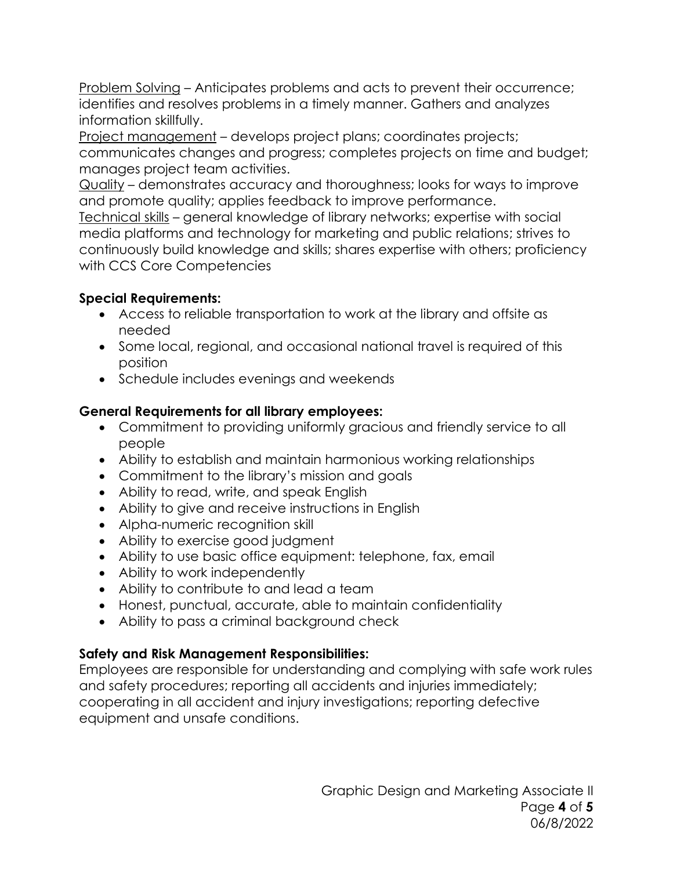Problem Solving – Anticipates problems and acts to prevent their occurrence; identifies and resolves problems in a timely manner. Gathers and analyzes information skillfully.

Project management – develops project plans; coordinates projects; communicates changes and progress; completes projects on time and budget; manages project team activities.

Quality – demonstrates accuracy and thoroughness; looks for ways to improve and promote quality; applies feedback to improve performance.

Technical skills – general knowledge of library networks; expertise with social media platforms and technology for marketing and public relations; strives to continuously build knowledge and skills; shares expertise with others; proficiency with CCS Core Competencies

## **Special Requirements:**

- Access to reliable transportation to work at the library and offsite as needed
- Some local, regional, and occasional national travel is required of this position
- Schedule includes evenings and weekends

#### **General Requirements for all library employees:**

- Commitment to providing uniformly gracious and friendly service to all people
- Ability to establish and maintain harmonious working relationships
- Commitment to the library's mission and goals
- Ability to read, write, and speak English
- Ability to give and receive instructions in English
- Alpha-numeric recognition skill
- Ability to exercise good judgment
- Ability to use basic office equipment: telephone, fax, email
- Ability to work independently
- Ability to contribute to and lead a team
- Honest, punctual, accurate, able to maintain confidentiality
- Ability to pass a criminal background check

## **Safety and Risk Management Responsibilities:**

Employees are responsible for understanding and complying with safe work rules and safety procedures; reporting all accidents and injuries immediately; cooperating in all accident and injury investigations; reporting defective equipment and unsafe conditions.